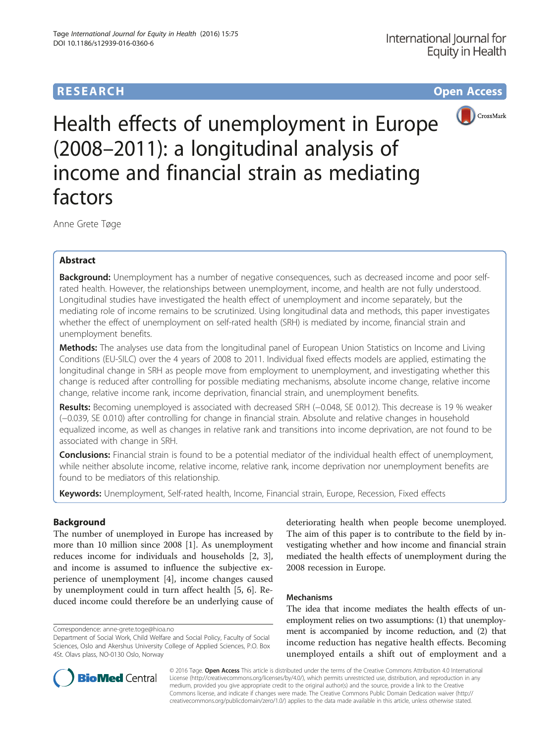# **RESEARCH CHE Open Access**



Health effects of unemployment in Europe (2008–2011): a longitudinal analysis of income and financial strain as mediating factors

Anne Grete Tøge

## Abstract

Background: Unemployment has a number of negative consequences, such as decreased income and poor selfrated health. However, the relationships between unemployment, income, and health are not fully understood. Longitudinal studies have investigated the health effect of unemployment and income separately, but the mediating role of income remains to be scrutinized. Using longitudinal data and methods, this paper investigates whether the effect of unemployment on self-rated health (SRH) is mediated by income, financial strain and unemployment benefits.

Methods: The analyses use data from the longitudinal panel of European Union Statistics on Income and Living Conditions (EU-SILC) over the 4 years of 2008 to 2011. Individual fixed effects models are applied, estimating the longitudinal change in SRH as people move from employment to unemployment, and investigating whether this change is reduced after controlling for possible mediating mechanisms, absolute income change, relative income change, relative income rank, income deprivation, financial strain, and unemployment benefits.

Results: Becoming unemployed is associated with decreased SRH (-0.048, SE 0.012). This decrease is 19 % weaker (−0.039, SE 0.010) after controlling for change in financial strain. Absolute and relative changes in household equalized income, as well as changes in relative rank and transitions into income deprivation, are not found to be associated with change in SRH.

**Conclusions:** Financial strain is found to be a potential mediator of the individual health effect of unemployment, while neither absolute income, relative income, relative rank, income deprivation nor unemployment benefits are found to be mediators of this relationship.

Keywords: Unemployment, Self-rated health, Income, Financial strain, Europe, Recession, Fixed effects

## Background

The number of unemployed in Europe has increased by more than 10 million since 2008 [\[1](#page-10-0)]. As unemployment reduces income for individuals and households [\[2](#page-10-0), [3](#page-10-0)], and income is assumed to influence the subjective experience of unemployment [\[4](#page-10-0)], income changes caused by unemployment could in turn affect health [[5, 6\]](#page-10-0). Reduced income could therefore be an underlying cause of

deteriorating health when people become unemployed. The aim of this paper is to contribute to the field by investigating whether and how income and financial strain mediated the health effects of unemployment during the 2008 recession in Europe.

## Mechanisms

The idea that income mediates the health effects of unemployment relies on two assumptions: (1) that unemployment is accompanied by income reduction, and (2) that income reduction has negative health effects. Becoming unemployed entails a shift out of employment and a



© 2016 Tøge. Open Access This article is distributed under the terms of the Creative Commons Attribution 4.0 International License ([http://creativecommons.org/licenses/by/4.0/\)](http://creativecommons.org/licenses/by/4.0/), which permits unrestricted use, distribution, and reproduction in any medium, provided you give appropriate credit to the original author(s) and the source, provide a link to the Creative Commons license, and indicate if changes were made. The Creative Commons Public Domain Dedication waiver ([http://](http://creativecommons.org/publicdomain/zero/1.0/) [creativecommons.org/publicdomain/zero/1.0/\)](http://creativecommons.org/publicdomain/zero/1.0/) applies to the data made available in this article, unless otherwise stated.

Correspondence: [anne-grete.toge@hioa.no](mailto:anne-grete.toge@hioa.no)

Department of Social Work, Child Welfare and Social Policy, Faculty of Social Sciences, Oslo and Akershus University College of Applied Sciences, P.O. Box 4St. Olavs plass, NO-0130 Oslo, Norway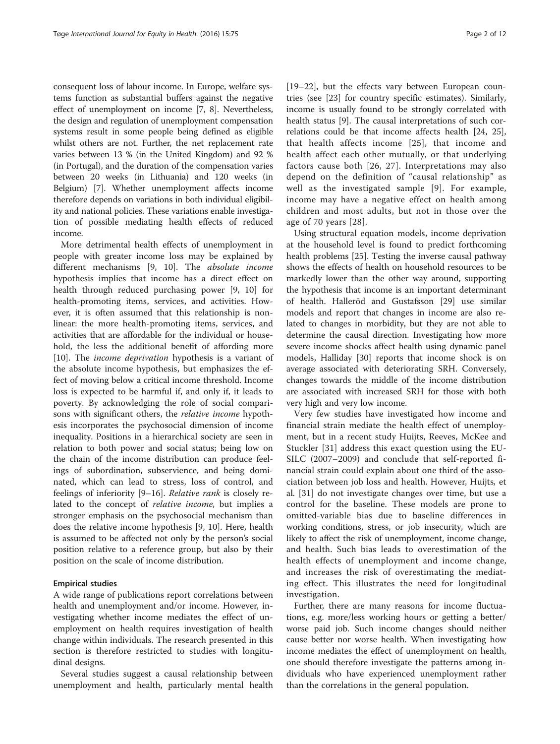consequent loss of labour income. In Europe, welfare systems function as substantial buffers against the negative effect of unemployment on income [[7, 8\]](#page-10-0). Nevertheless, the design and regulation of unemployment compensation systems result in some people being defined as eligible whilst others are not. Further, the net replacement rate varies between 13 % (in the United Kingdom) and 92 % (in Portugal), and the duration of the compensation varies between 20 weeks (in Lithuania) and 120 weeks (in Belgium) [\[7](#page-10-0)]. Whether unemployment affects income therefore depends on variations in both individual eligibility and national policies. These variations enable investigation of possible mediating health effects of reduced income.

More detrimental health effects of unemployment in people with greater income loss may be explained by different mechanisms [[9, 10](#page-10-0)]. The absolute income hypothesis implies that income has a direct effect on health through reduced purchasing power [[9, 10](#page-10-0)] for health-promoting items, services, and activities. However, it is often assumed that this relationship is nonlinear: the more health-promoting items, services, and activities that are affordable for the individual or household, the less the additional benefit of affording more [[10\]](#page-10-0). The income deprivation hypothesis is a variant of the absolute income hypothesis, but emphasizes the effect of moving below a critical income threshold. Income loss is expected to be harmful if, and only if, it leads to poverty. By acknowledging the role of social comparisons with significant others, the relative income hypothesis incorporates the psychosocial dimension of income inequality. Positions in a hierarchical society are seen in relation to both power and social status; being low on the chain of the income distribution can produce feelings of subordination, subservience, and being dominated, which can lead to stress, loss of control, and feelings of inferiority [\[9](#page-10-0)–[16\]](#page-11-0). Relative rank is closely related to the concept of relative income, but implies a stronger emphasis on the psychosocial mechanism than does the relative income hypothesis [[9, 10](#page-10-0)]. Here, health is assumed to be affected not only by the person's social position relative to a reference group, but also by their position on the scale of income distribution.

#### Empirical studies

A wide range of publications report correlations between health and unemployment and/or income. However, investigating whether income mediates the effect of unemployment on health requires investigation of health change within individuals. The research presented in this section is therefore restricted to studies with longitudinal designs.

Several studies suggest a causal relationship between unemployment and health, particularly mental health

[[19](#page-11-0)–[22](#page-11-0)], but the effects vary between European countries (see [[23\]](#page-11-0) for country specific estimates). Similarly, income is usually found to be strongly correlated with health status [\[9](#page-10-0)]. The causal interpretations of such correlations could be that income affects health [[24](#page-11-0), [25](#page-11-0)], that health affects income [[25](#page-11-0)], that income and health affect each other mutually, or that underlying factors cause both [[26, 27\]](#page-11-0). Interpretations may also depend on the definition of "causal relationship" as well as the investigated sample [[9](#page-10-0)]. For example, income may have a negative effect on health among children and most adults, but not in those over the age of 70 years [[28](#page-11-0)].

Using structural equation models, income deprivation at the household level is found to predict forthcoming health problems [\[25](#page-11-0)]. Testing the inverse causal pathway shows the effects of health on household resources to be markedly lower than the other way around, supporting the hypothesis that income is an important determinant of health. Halleröd and Gustafsson [\[29](#page-11-0)] use similar models and report that changes in income are also related to changes in morbidity, but they are not able to determine the causal direction. Investigating how more severe income shocks affect health using dynamic panel models, Halliday [\[30](#page-11-0)] reports that income shock is on average associated with deteriorating SRH. Conversely, changes towards the middle of the income distribution are associated with increased SRH for those with both very high and very low income.

Very few studies have investigated how income and financial strain mediate the health effect of unemployment, but in a recent study Huijts, Reeves, McKee and Stuckler [[31\]](#page-11-0) address this exact question using the EU-SILC (2007–2009) and conclude that self-reported financial strain could explain about one third of the association between job loss and health. However, Huijts, et al. [[31\]](#page-11-0) do not investigate changes over time, but use a control for the baseline. These models are prone to omitted-variable bias due to baseline differences in working conditions, stress, or job insecurity, which are likely to affect the risk of unemployment, income change, and health. Such bias leads to overestimation of the health effects of unemployment and income change, and increases the risk of overestimating the mediating effect. This illustrates the need for longitudinal investigation.

Further, there are many reasons for income fluctuations, e.g. more/less working hours or getting a better/ worse paid job. Such income changes should neither cause better nor worse health. When investigating how income mediates the effect of unemployment on health, one should therefore investigate the patterns among individuals who have experienced unemployment rather than the correlations in the general population.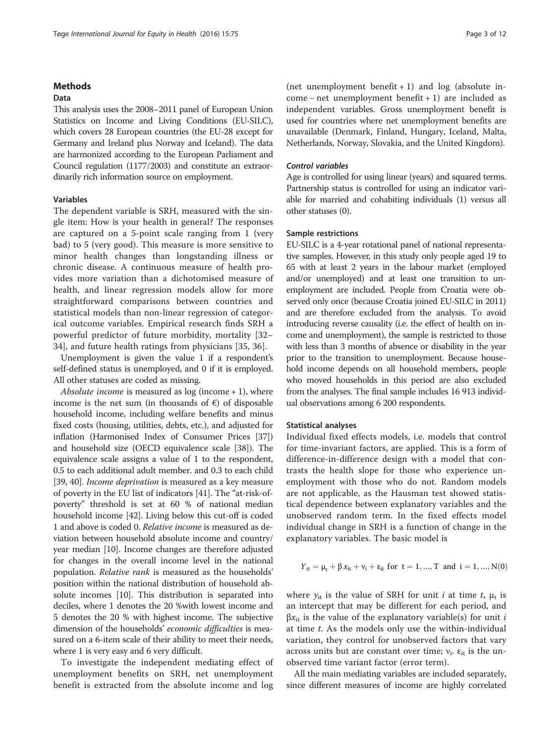## Methods

## Data

This analysis uses the 2008–2011 panel of European Union Statistics on Income and Living Conditions (EU-SILC), which covers 28 European countries (the EU-28 except for Germany and Ireland plus Norway and Iceland). The data are harmonized according to the European Parliament and Council regulation (1177/2003) and constitute an extraordinarily rich information source on employment.

#### Variables

The dependent variable is SRH, measured with the single item: How is your health in general? The responses are captured on a 5-point scale ranging from 1 (very bad) to 5 (very good). This measure is more sensitive to minor health changes than longstanding illness or chronic disease. A continuous measure of health provides more variation than a dichotomised measure of health, and linear regression models allow for more straightforward comparisons between countries and statistical models than non-linear regression of categorical outcome variables. Empirical research finds SRH a powerful predictor of future morbidity, mortality [[32](#page-11-0)– [34\]](#page-11-0), and future health ratings from physicians [[35, 36\]](#page-11-0).

Unemployment is given the value 1 if a respondent's self-defined status is unemployed, and 0 if it is employed. All other statuses are coded as missing.

Absolute income is measured as  $log (income + 1)$ , where income is the net sum (in thousands of  $\epsilon$ ) of disposable household income, including welfare benefits and minus fixed costs (housing, utilities, debts, etc.), and adjusted for inflation (Harmonised Index of Consumer Prices [[37](#page-11-0)]) and household size (OECD equivalence scale [\[38\]](#page-11-0)). The equivalence scale assigns a value of 1 to the respondent, 0.5 to each additional adult member. and 0.3 to each child [[39](#page-11-0), [40\]](#page-11-0). Income deprivation is measured as a key measure of poverty in the EU list of indicators [\[41\]](#page-11-0). The "at-risk-ofpoverty" threshold is set at 60 % of national median household income [\[42\]](#page-11-0). Living below this cut-off is coded 1 and above is coded 0. Relative income is measured as deviation between household absolute income and country/ year median [\[10\]](#page-10-0). Income changes are therefore adjusted for changes in the overall income level in the national population. Relative rank is measured as the households' position within the national distribution of household absolute incomes [[10](#page-10-0)]. This distribution is separated into deciles, where 1 denotes the 20 %with lowest income and 5 denotes the 20 % with highest income. The subjective dimension of the households' economic difficulties is measured on a 6-item scale of their ability to meet their needs, where 1 is very easy and 6 very difficult.

To investigate the independent mediating effect of unemployment benefits on SRH, net unemployment benefit is extracted from the absolute income and log

(net unemployment benefit  $+1$ ) and log (absolute income − net unemployment benefit + 1) are included as independent variables. Gross unemployment benefit is used for countries where net unemployment benefits are unavailable (Denmark, Finland, Hungary, Iceland, Malta, Netherlands, Norway, Slovakia, and the United Kingdom).

#### Control variables

Age is controlled for using linear (years) and squared terms. Partnership status is controlled for using an indicator variable for married and cohabiting individuals (1) versus all other statuses (0).

#### Sample restrictions

EU-SILC is a 4-year rotational panel of national representative samples. However, in this study only people aged 19 to 65 with at least 2 years in the labour market (employed and/or unemployed) and at least one transition to unemployment are included. People from Croatia were observed only once (because Croatia joined EU-SILC in 2011) and are therefore excluded from the analysis. To avoid introducing reverse causality (i.e. the effect of health on income and unemployment), the sample is restricted to those with less than 3 months of absence or disability in the year prior to the transition to unemployment. Because household income depends on all household members, people who moved households in this period are also excluded from the analyses. The final sample includes 16 913 individual observations among 6 200 respondents.

#### Statistical analyses

Individual fixed effects models, i.e. models that control for time-invariant factors, are applied. This is a form of difference-in-difference design with a model that contrasts the health slope for those who experience unemployment with those who do not. Random models are not applicable, as the Hausman test showed statistical dependence between explanatory variables and the unobserved random term. In the fixed effects model individual change in SRH is a function of change in the explanatory variables. The basic model is

$$
\boldsymbol{\varUpsilon}_{it} = \mu_{t} + \beta \, x_{it} + \nu_{i} + \epsilon_{it} \text{ for } t = 1,...,T \text{ and } i = 1,...,N(0)
$$

where  $y_{it}$  is the value of SRH for unit *i* at time *t*,  $\mu_t$  is an intercept that may be different for each period, and  $βx_{it}$  is the value of the explanatory variable(s) for unit *i* at time t. As the models only use the within-individual variation, they control for unobserved factors that vary across units but are constant over time;  $v_i$ .  $\varepsilon_{it}$  is the unobserved time variant factor (error term).

All the main mediating variables are included separately, since different measures of income are highly correlated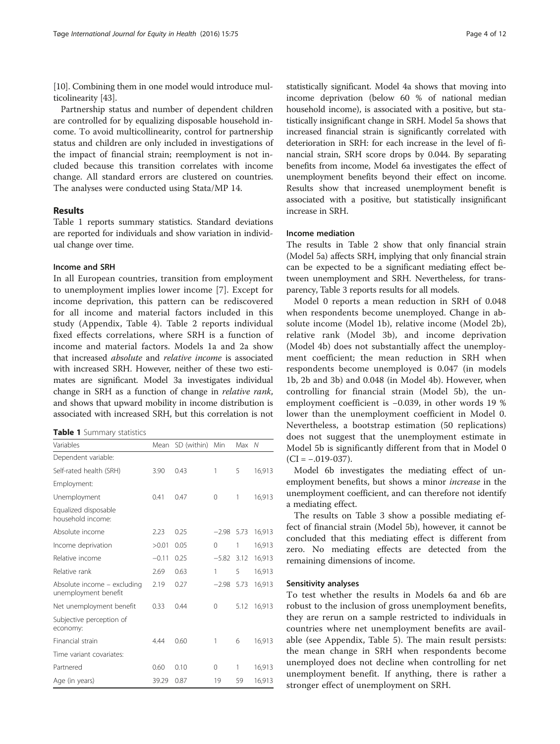[[10](#page-10-0)]. Combining them in one model would introduce multicolinearity [[43](#page-11-0)].

Partnership status and number of dependent children are controlled for by equalizing disposable household income. To avoid multicollinearity, control for partnership status and children are only included in investigations of the impact of financial strain; reemployment is not included because this transition correlates with income change. All standard errors are clustered on countries. The analyses were conducted using Stata/MP 14.

#### Results

Table 1 reports summary statistics. Standard deviations are reported for individuals and show variation in individual change over time.

### Income and SRH

In all European countries, transition from employment to unemployment implies lower income [[7\]](#page-10-0). Except for income deprivation, this pattern can be rediscovered for all income and material factors included in this study (Appendix, Table 4). Table [2](#page-4-0) reports individual fixed effects correlations, where SRH is a function of income and material factors. Models 1a and 2a show that increased absolute and relative income is associated with increased SRH. However, neither of these two estimates are significant. Model 3a investigates individual change in SRH as a function of change in relative rank, and shows that upward mobility in income distribution is associated with increased SRH, but this correlation is not

Table 1 Summary statistics

| Variables                                           | Mean    | SD (within) | Min         | Max  | N      |
|-----------------------------------------------------|---------|-------------|-------------|------|--------|
| Dependent variable:                                 |         |             |             |      |        |
| Self-rated health (SRH)                             | 3.90    | 0.43        | 1           | 5    | 16,913 |
| Employment:                                         |         |             |             |      |        |
| Unemployment                                        | 0.41    | 0.47        | $\mathbf 0$ | 1    | 16,913 |
| Equalized disposable<br>household income:           |         |             |             |      |        |
| Absolute income                                     | 2.23    | 0.25        | $-2.98$     | 5.73 | 16,913 |
| Income deprivation                                  | >0.01   | 0.05        | $\Omega$    | 1    | 16,913 |
| Relative income                                     | $-0.11$ | 0.25        | $-5.82$     | 3.12 | 16,913 |
| Relative rank                                       | 2.69    | 0.63        | 1           | 5    | 16,913 |
| Absolute income - excluding<br>unemployment benefit | 2.19    | 0.27        | $-2.98$     | 5.73 | 16,913 |
| Net unemployment benefit                            | 0.33    | 0.44        | 0           | 5.12 | 16,913 |
| Subjective perception of<br>economy:                |         |             |             |      |        |
| Financial strain                                    | 4.44    | 0.60        | 1           | 6    | 16,913 |
| Time variant covariates:                            |         |             |             |      |        |
| Partnered                                           | 0.60    | 0.10        | 0           | 1    | 16,913 |
| Age (in years)                                      | 39.29   | 0.87        | 19          | 59   | 16,913 |

statistically significant. Model 4a shows that moving into income deprivation (below 60 % of national median household income), is associated with a positive, but statistically insignificant change in SRH. Model 5a shows that increased financial strain is significantly correlated with deterioration in SRH: for each increase in the level of financial strain, SRH score drops by 0.044. By separating benefits from income, Model 6a investigates the effect of unemployment benefits beyond their effect on income. Results show that increased unemployment benefit is associated with a positive, but statistically insignificant increase in SRH.

## Income mediation

The results in Table [2](#page-4-0) show that only financial strain (Model 5a) affects SRH, implying that only financial strain can be expected to be a significant mediating effect between unemployment and SRH. Nevertheless, for transparency, Table [3](#page-5-0) reports results for all models.

Model 0 reports a mean reduction in SRH of 0.048 when respondents become unemployed. Change in absolute income (Model 1b), relative income (Model 2b), relative rank (Model 3b), and income deprivation (Model 4b) does not substantially affect the unemployment coefficient; the mean reduction in SRH when respondents become unemployed is 0.047 (in models 1b, 2b and 3b) and 0.048 (in Model 4b). However, when controlling for financial strain (Model 5b), the unemployment coefficient is −0.039, in other words 19 % lower than the unemployment coefficient in Model 0. Nevertheless, a bootstrap estimation (50 replications) does not suggest that the unemployment estimate in Model 5b is significantly different from that in Model 0  $(CI = -.019-037)$ .

Model 6b investigates the mediating effect of unemployment benefits, but shows a minor increase in the unemployment coefficient, and can therefore not identify a mediating effect.

The results on Table [3](#page-5-0) show a possible mediating effect of financial strain (Model 5b), however, it cannot be concluded that this mediating effect is different from zero. No mediating effects are detected from the remaining dimensions of income.

#### Sensitivity analyses

To test whether the results in Models 6a and 6b are robust to the inclusion of gross unemployment benefits, they are rerun on a sample restricted to individuals in countries where net unemployment benefits are available (see Appendix, Table 5). The main result persists: the mean change in SRH when respondents become unemployed does not decline when controlling for net unemployment benefit. If anything, there is rather a stronger effect of unemployment on SRH.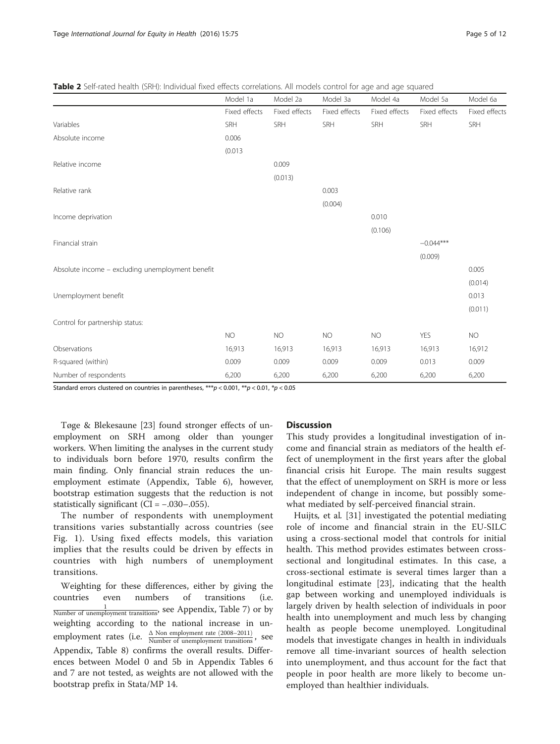<span id="page-4-0"></span>

| Table 2 Self-rated health (SRH): Individual fixed effects correlations. All models control for age and age squared |  |  |  |  |  |  |
|--------------------------------------------------------------------------------------------------------------------|--|--|--|--|--|--|
|                                                                                                                    |  |  |  |  |  |  |

|                                                  |               |               |               | Model 4a      |               |               |
|--------------------------------------------------|---------------|---------------|---------------|---------------|---------------|---------------|
|                                                  | Model 1a      | Model 2a      | Model 3a      |               | Model 5a      | Model 6a      |
|                                                  | Fixed effects | Fixed effects | Fixed effects | Fixed effects | Fixed effects | Fixed effects |
| Variables                                        | SRH           | SRH           | SRH           | SRH           | SRH           | SRH           |
| Absolute income                                  | 0.006         |               |               |               |               |               |
|                                                  | (0.013)       |               |               |               |               |               |
| Relative income                                  |               | 0.009         |               |               |               |               |
|                                                  |               | (0.013)       |               |               |               |               |
| Relative rank                                    |               |               | 0.003         |               |               |               |
|                                                  |               |               | (0.004)       |               |               |               |
| Income deprivation                               |               |               |               | 0.010         |               |               |
|                                                  |               |               |               | (0.106)       |               |               |
| Financial strain                                 |               |               |               |               | $-0.044***$   |               |
|                                                  |               |               |               |               | (0.009)       |               |
| Absolute income - excluding unemployment benefit |               |               |               |               |               | 0.005         |
|                                                  |               |               |               |               |               | (0.014)       |
| Unemployment benefit                             |               |               |               |               |               | 0.013         |
|                                                  |               |               |               |               |               | (0.011)       |
| Control for partnership status:                  |               |               |               |               |               |               |
|                                                  | <b>NO</b>     | <b>NO</b>     | <b>NO</b>     | <b>NO</b>     | <b>YES</b>    | <b>NO</b>     |
| Observations                                     | 16,913        | 16,913        | 16,913        | 16,913        | 16,913        | 16,912        |
| R-squared (within)                               | 0.009         | 0.009         | 0.009         | 0.009         | 0.013         | 0.009         |
| Number of respondents                            | 6,200         | 6,200         | 6,200         | 6,200         | 6,200         | 6,200         |
|                                                  |               |               |               |               |               |               |

Standard errors clustered on countries in parentheses,  $***p$  < 0.001,  $**p$  < 0.01,  $*p$  < 0.05

Tøge & Blekesaune [[23](#page-11-0)] found stronger effects of unemployment on SRH among older than younger workers. When limiting the analyses in the current study to individuals born before 1970, results confirm the main finding. Only financial strain reduces the unemployment estimate (Appendix, Table 6), however, bootstrap estimation suggests that the reduction is not statistically significant ( $CI = -.030-.055$ ).

The number of respondents with unemployment transitions varies substantially across countries (see Fig. [1](#page-5-0)). Using fixed effects models, this variation implies that the results could be driven by effects in countries with high numbers of unemployment transitions.

Weighting for these differences, either by giving the countries even numbers of transitions (i.e.  $\frac{1}{\text{Number of unemptyment transitions}}$ , see Appendix, Table 7) or by weighting according to the national increase in unemployment rates (i.e.  $\frac{\Delta \text{ Non employment rate } (2008-2011)}{\text{Number of un employment transitions}}$ , see Appendix, Table 8) confirms the overall results. Differences between Model 0 and 5b in Appendix Tables 6 and 7 are not tested, as weights are not allowed with the bootstrap prefix in Stata/MP 14.

## **Discussion**

This study provides a longitudinal investigation of income and financial strain as mediators of the health effect of unemployment in the first years after the global financial crisis hit Europe. The main results suggest that the effect of unemployment on SRH is more or less independent of change in income, but possibly somewhat mediated by self-perceived financial strain.

Huijts, et al. [\[31](#page-11-0)] investigated the potential mediating role of income and financial strain in the EU-SILC using a cross-sectional model that controls for initial health. This method provides estimates between crosssectional and longitudinal estimates. In this case, a cross-sectional estimate is several times larger than a longitudinal estimate [[23](#page-11-0)], indicating that the health gap between working and unemployed individuals is largely driven by health selection of individuals in poor health into unemployment and much less by changing health as people become unemployed. Longitudinal models that investigate changes in health in individuals remove all time-invariant sources of health selection into unemployment, and thus account for the fact that people in poor health are more likely to become unemployed than healthier individuals.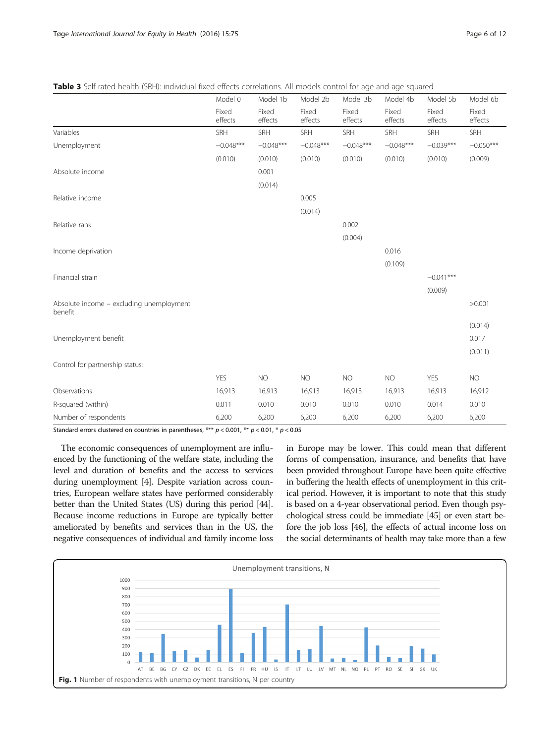|                                                     | Model 0          | Model 1b         | Model 2b         | Model 3b         | Model 4b         | Model 5b         | Model 6b         |
|-----------------------------------------------------|------------------|------------------|------------------|------------------|------------------|------------------|------------------|
|                                                     | Fixed<br>effects | Fixed<br>effects | Fixed<br>effects | Fixed<br>effects | Fixed<br>effects | Fixed<br>effects | Fixed<br>effects |
| Variables                                           | SRH              | SRH              | SRH              | <b>SRH</b>       | SRH              | <b>SRH</b>       | SRH              |
| Unemployment                                        | $-0.048***$      | $-0.048***$      | $-0.048***$      | $-0.048***$      | $-0.048***$      | $-0.039***$      | $-0.050***$      |
|                                                     | (0.010)          | (0.010)          | (0.010)          | (0.010)          | (0.010)          | (0.010)          | (0.009)          |
| Absolute income                                     |                  | 0.001            |                  |                  |                  |                  |                  |
|                                                     |                  | (0.014)          |                  |                  |                  |                  |                  |
| Relative income                                     |                  |                  | 0.005            |                  |                  |                  |                  |
|                                                     |                  |                  | (0.014)          |                  |                  |                  |                  |
| Relative rank                                       |                  |                  |                  | 0.002            |                  |                  |                  |
|                                                     |                  |                  |                  | (0.004)          |                  |                  |                  |
| Income deprivation                                  |                  |                  |                  |                  | 0.016            |                  |                  |
|                                                     |                  |                  |                  |                  | (0.109)          |                  |                  |
| Financial strain                                    |                  |                  |                  |                  |                  | $-0.041***$      |                  |
|                                                     |                  |                  |                  |                  |                  | (0.009)          |                  |
| Absolute income - excluding unemployment<br>benefit |                  |                  |                  |                  |                  |                  | >0.001           |
|                                                     |                  |                  |                  |                  |                  |                  | (0.014)          |
| Unemployment benefit                                |                  |                  |                  |                  |                  |                  | 0.017            |
|                                                     |                  |                  |                  |                  |                  |                  | (0.011)          |
| Control for partnership status:                     |                  |                  |                  |                  |                  |                  |                  |
|                                                     | <b>YES</b>       | <b>NO</b>        | <b>NO</b>        | NO               | NO               | <b>YES</b>       | <b>NO</b>        |
| Observations                                        | 16,913           | 16,913           | 16,913           | 16,913           | 16,913           | 16,913           | 16,912           |
| R-squared (within)                                  | 0.011            | 0.010            | 0.010            | 0.010            | 0.010            | 0.014            | 0.010            |
| Number of respondents                               | 6,200            | 6,200            | 6,200            | 6,200            | 6,200            | 6,200            | 6,200            |

<span id="page-5-0"></span>Table 3 Self-rated health (SRH): individual fixed effects correlations. All models control for age and age squared

Standard errors clustered on countries in parentheses, \*\*\*  $p < 0.001$ , \*\*  $p < 0.01$ , \*  $p < 0.05$ 

The economic consequences of unemployment are influenced by the functioning of the welfare state, including the level and duration of benefits and the access to services during unemployment [\[4](#page-10-0)]. Despite variation across countries, European welfare states have performed considerably better than the United States (US) during this period [\[44](#page-11-0)]. Because income reductions in Europe are typically better ameliorated by benefits and services than in the US, the negative consequences of individual and family income loss in Europe may be lower. This could mean that different forms of compensation, insurance, and benefits that have been provided throughout Europe have been quite effective in buffering the health effects of unemployment in this critical period. However, it is important to note that this study is based on a 4-year observational period. Even though psychological stress could be immediate [\[45](#page-11-0)] or even start before the job loss [[46](#page-11-0)], the effects of actual income loss on the social determinants of health may take more than a few

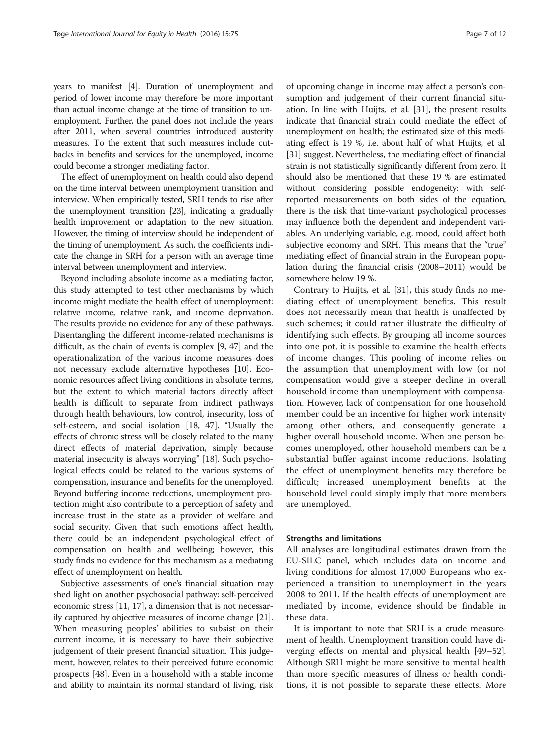years to manifest [\[4\]](#page-10-0). Duration of unemployment and period of lower income may therefore be more important than actual income change at the time of transition to unemployment. Further, the panel does not include the years after 2011, when several countries introduced austerity measures. To the extent that such measures include cutbacks in benefits and services for the unemployed, income could become a stronger mediating factor.

The effect of unemployment on health could also depend on the time interval between unemployment transition and interview. When empirically tested, SRH tends to rise after the unemployment transition [\[23\]](#page-11-0), indicating a gradually health improvement or adaptation to the new situation. However, the timing of interview should be independent of the timing of unemployment. As such, the coefficients indicate the change in SRH for a person with an average time interval between unemployment and interview.

Beyond including absolute income as a mediating factor, this study attempted to test other mechanisms by which income might mediate the health effect of unemployment: relative income, relative rank, and income deprivation. The results provide no evidence for any of these pathways. Disentangling the different income-related mechanisms is difficult, as the chain of events is complex [\[9,](#page-10-0) [47\]](#page-11-0) and the operationalization of the various income measures does not necessary exclude alternative hypotheses [\[10](#page-10-0)]. Economic resources affect living conditions in absolute terms, but the extent to which material factors directly affect health is difficult to separate from indirect pathways through health behaviours, low control, insecurity, loss of self-esteem, and social isolation [[18](#page-11-0), [47](#page-11-0)]. "Usually the effects of chronic stress will be closely related to the many direct effects of material deprivation, simply because material insecurity is always worrying" [\[18](#page-11-0)]. Such psychological effects could be related to the various systems of compensation, insurance and benefits for the unemployed. Beyond buffering income reductions, unemployment protection might also contribute to a perception of safety and increase trust in the state as a provider of welfare and social security. Given that such emotions affect health, there could be an independent psychological effect of compensation on health and wellbeing; however, this study finds no evidence for this mechanism as a mediating effect of unemployment on health.

Subjective assessments of one's financial situation may shed light on another psychosocial pathway: self-perceived economic stress [\[11,](#page-10-0) [17](#page-11-0)], a dimension that is not necessarily captured by objective measures of income change [[21](#page-11-0)]. When measuring peoples' abilities to subsist on their current income, it is necessary to have their subjective judgement of their present financial situation. This judgement, however, relates to their perceived future economic prospects [\[48\]](#page-11-0). Even in a household with a stable income and ability to maintain its normal standard of living, risk of upcoming change in income may affect a person's consumption and judgement of their current financial situation. In line with Huijts, et al. [[31\]](#page-11-0), the present results indicate that financial strain could mediate the effect of unemployment on health; the estimated size of this mediating effect is 19 %, i.e. about half of what Huijts, et al. [[31](#page-11-0)] suggest. Nevertheless, the mediating effect of financial strain is not statistically significantly different from zero. It should also be mentioned that these 19 % are estimated without considering possible endogeneity: with selfreported measurements on both sides of the equation, there is the risk that time-variant psychological processes may influence both the dependent and independent variables. An underlying variable, e.g. mood, could affect both subjective economy and SRH. This means that the "true" mediating effect of financial strain in the European population during the financial crisis (2008–2011) would be somewhere below 19 %.

Contrary to Huijts, et al. [\[31](#page-11-0)], this study finds no mediating effect of unemployment benefits. This result does not necessarily mean that health is unaffected by such schemes; it could rather illustrate the difficulty of identifying such effects. By grouping all income sources into one pot, it is possible to examine the health effects of income changes. This pooling of income relies on the assumption that unemployment with low (or no) compensation would give a steeper decline in overall household income than unemployment with compensation. However, lack of compensation for one household member could be an incentive for higher work intensity among other others, and consequently generate a higher overall household income. When one person becomes unemployed, other household members can be a substantial buffer against income reductions. Isolating the effect of unemployment benefits may therefore be difficult; increased unemployment benefits at the household level could simply imply that more members are unemployed.

#### Strengths and limitations

All analyses are longitudinal estimates drawn from the EU-SILC panel, which includes data on income and living conditions for almost 17,000 Europeans who experienced a transition to unemployment in the years 2008 to 2011. If the health effects of unemployment are mediated by income, evidence should be findable in these data.

It is important to note that SRH is a crude measurement of health. Unemployment transition could have diverging effects on mental and physical health [[49](#page-11-0)–[52](#page-11-0)]. Although SRH might be more sensitive to mental health than more specific measures of illness or health conditions, it is not possible to separate these effects. More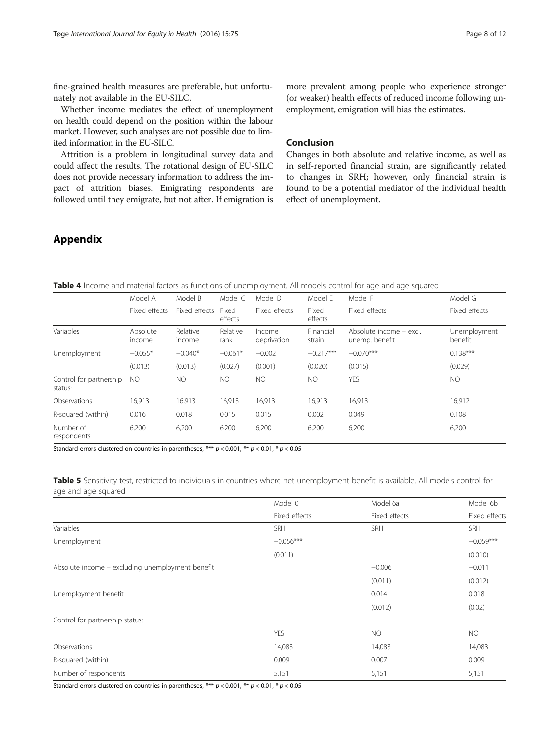fine-grained health measures are preferable, but unfortunately not available in the EU-SILC.

Whether income mediates the effect of unemployment on health could depend on the position within the labour market. However, such analyses are not possible due to limited information in the EU-SILC.

Attrition is a problem in longitudinal survey data and could affect the results. The rotational design of EU-SILC does not provide necessary information to address the impact of attrition biases. Emigrating respondents are followed until they emigrate, but not after. If emigration is

more prevalent among people who experience stronger (or weaker) health effects of reduced income following unemployment, emigration will bias the estimates.

## Conclusion

Changes in both absolute and relative income, as well as in self-reported financial strain, are significantly related to changes in SRH; however, only financial strain is found to be a potential mediator of the individual health effect of unemployment.

## Appendix

| <b>Table 4</b> Income and material factors as functions of unemployment. All models control for age and age squared |  |  |
|---------------------------------------------------------------------------------------------------------------------|--|--|
|---------------------------------------------------------------------------------------------------------------------|--|--|

|                                    | Model A            | Model B            | Model C          | Model D               | Model E             | Model F                                   | Model G                 |
|------------------------------------|--------------------|--------------------|------------------|-----------------------|---------------------|-------------------------------------------|-------------------------|
|                                    | Fixed effects      | Fixed effects      | Fixed<br>effects | Fixed effects         | Fixed<br>effects    | Fixed effects                             | Fixed effects           |
| Variables                          | Absolute<br>income | Relative<br>income | Relative<br>rank | Income<br>deprivation | Financial<br>strain | Absolute income - excl.<br>unemp. benefit | Unemployment<br>benefit |
| Unemployment                       | $-0.055*$          | $-0.040*$          | $-0.061*$        | $-0.002$              | $-0.217***$         | $-0.070***$                               | $0.138***$              |
|                                    | (0.013)            | (0.013)            | (0.027)          | (0.001)               | (0.020)             | (0.015)                                   | (0.029)                 |
| Control for partnership<br>status: | NO.                | NO.                | NO.              | NO                    | NO.                 | <b>YES</b>                                | NO.                     |
| Observations                       | 16.913             | 16,913             | 16,913           | 16,913                | 16,913              | 16,913                                    | 16,912                  |
| R-squared (within)                 | 0.016              | 0.018              | 0.015            | 0.015                 | 0.002               | 0.049                                     | 0.108                   |
| Number of<br>respondents           | 6,200              | 6,200              | 6,200            | 6,200                 | 6,200               | 6,200                                     | 6,200                   |

Standard errors clustered on countries in parentheses, \*\*\*  $p < 0.001$ , \*\*  $p < 0.01$ , \*  $p < 0.05$ 

Table 5 Sensitivity test, restricted to individuals in countries where net unemployment benefit is available. All models control for age and age squared

|                                                  | Model 0       | Model 6a      | Model 6b      |
|--------------------------------------------------|---------------|---------------|---------------|
|                                                  | Fixed effects | Fixed effects | Fixed effects |
| Variables                                        | SRH           | SRH           | SRH           |
| Unemployment                                     | $-0.056***$   |               | $-0.059***$   |
|                                                  | (0.011)       |               | (0.010)       |
| Absolute income - excluding unemployment benefit |               | $-0.006$      | $-0.011$      |
|                                                  |               | (0.011)       | (0.012)       |
| Unemployment benefit                             |               | 0.014         | 0.018         |
|                                                  |               | (0.012)       | (0.02)        |
| Control for partnership status:                  |               |               |               |
|                                                  | <b>YES</b>    | <b>NO</b>     | NO.           |
| Observations                                     | 14,083        | 14,083        | 14,083        |
| R-squared (within)                               | 0.009         | 0.007         | 0.009         |
| Number of respondents                            | 5,151         | 5,151         | 5,151         |

Standard errors clustered on countries in parentheses, \*\*\*  $p < 0.001$ , \*\*  $p < 0.01$ , \*  $p < 0.05$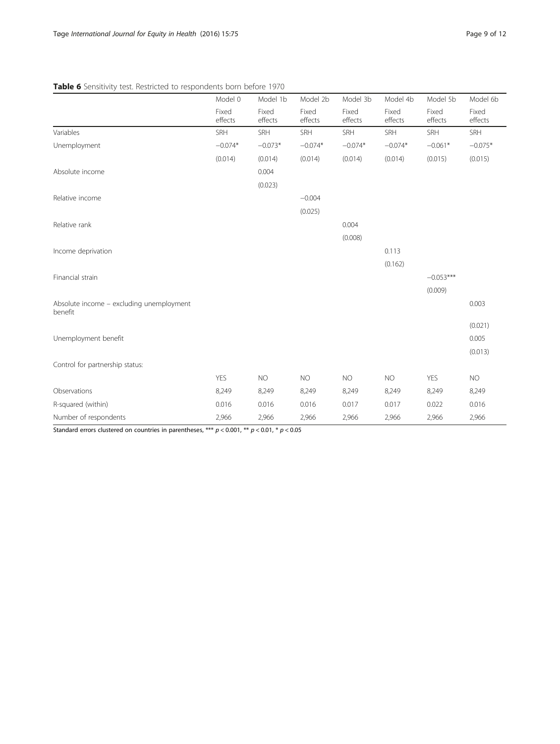## Table 6 Sensitivity test. Restricted to respondents born before 1970

|                                                     | Model 0          | Model 1b         | Model 2b         | Model 3b         | Model 4b         | Model 5b         | Model 6b         |
|-----------------------------------------------------|------------------|------------------|------------------|------------------|------------------|------------------|------------------|
|                                                     | Fixed<br>effects | Fixed<br>effects | Fixed<br>effects | Fixed<br>effects | Fixed<br>effects | Fixed<br>effects | Fixed<br>effects |
| Variables                                           | SRH              | SRH              | SRH              | SRH              | SRH              | SRH              | SRH              |
| Unemployment                                        | $-0.074*$        | $-0.073*$        | $-0.074*$        | $-0.074*$        | $-0.074*$        | $-0.061*$        | $-0.075*$        |
|                                                     | (0.014)          | (0.014)          | (0.014)          | (0.014)          | (0.014)          | (0.015)          | (0.015)          |
| Absolute income                                     |                  | 0.004            |                  |                  |                  |                  |                  |
|                                                     |                  | (0.023)          |                  |                  |                  |                  |                  |
| Relative income                                     |                  |                  | $-0.004$         |                  |                  |                  |                  |
|                                                     |                  |                  | (0.025)          |                  |                  |                  |                  |
| Relative rank                                       |                  |                  |                  | 0.004            |                  |                  |                  |
|                                                     |                  |                  |                  | (0.008)          |                  |                  |                  |
| Income deprivation                                  |                  |                  |                  |                  | 0.113            |                  |                  |
|                                                     |                  |                  |                  |                  | (0.162)          |                  |                  |
| Financial strain                                    |                  |                  |                  |                  |                  | $-0.053***$      |                  |
|                                                     |                  |                  |                  |                  |                  | (0.009)          |                  |
| Absolute income - excluding unemployment<br>benefit |                  |                  |                  |                  |                  |                  | 0.003            |
|                                                     |                  |                  |                  |                  |                  |                  | (0.021)          |
| Unemployment benefit                                |                  |                  |                  |                  |                  |                  | 0.005            |
|                                                     |                  |                  |                  |                  |                  |                  | (0.013)          |
| Control for partnership status:                     |                  |                  |                  |                  |                  |                  |                  |
|                                                     | <b>YES</b>       | <b>NO</b>        | <b>NO</b>        | <b>NO</b>        | <b>NO</b>        | <b>YES</b>       | <b>NO</b>        |
| Observations                                        | 8,249            | 8,249            | 8,249            | 8,249            | 8,249            | 8,249            | 8,249            |
| R-squared (within)                                  | 0.016            | 0.016            | 0.016            | 0.017            | 0.017            | 0.022            | 0.016            |
| Number of respondents                               | 2,966            | 2,966            | 2,966            | 2,966            | 2,966            | 2,966            | 2,966            |

Standard errors clustered on countries in parentheses, \*\*\*  $p < 0.001$ , \*\*  $p < 0.01$ , \*  $p < 0.05$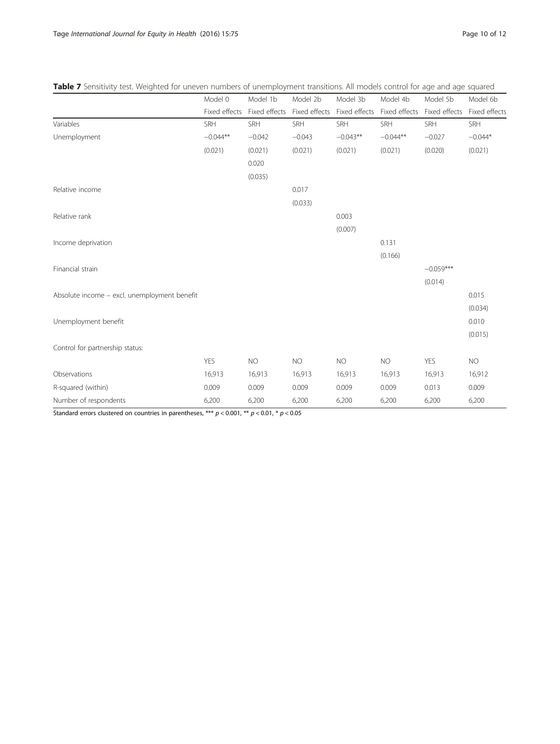|                                              | Model 0       | Model 1b                                  | Model 2b  | Model 3b   | Model 4b      | Model 5b      | Model 6b      |
|----------------------------------------------|---------------|-------------------------------------------|-----------|------------|---------------|---------------|---------------|
|                                              | Fixed effects | Fixed effects Fixed effects Fixed effects |           |            | Fixed effects | Fixed effects | Fixed effects |
| Variables                                    | <b>SRH</b>    | <b>SRH</b>                                | SRH       | SRH        | SRH           | SRH           | SRH           |
| Unemployment                                 | $-0.044**$    | $-0.042$                                  | $-0.043$  | $-0.043**$ | $-0.044**$    | $-0.027$      | $-0.044*$     |
|                                              | (0.021)       | (0.021)                                   | (0.021)   | (0.021)    | (0.021)       | (0.020)       | (0.021)       |
|                                              |               | 0.020                                     |           |            |               |               |               |
|                                              |               | (0.035)                                   |           |            |               |               |               |
| Relative income                              |               |                                           | 0.017     |            |               |               |               |
|                                              |               |                                           | (0.033)   |            |               |               |               |
| Relative rank                                |               |                                           |           | 0.003      |               |               |               |
|                                              |               |                                           |           | (0.007)    |               |               |               |
| Income deprivation                           |               |                                           |           |            | 0.131         |               |               |
|                                              |               |                                           |           |            | (0.166)       |               |               |
| Financial strain                             |               |                                           |           |            |               | $-0.059***$   |               |
|                                              |               |                                           |           |            |               | (0.014)       |               |
| Absolute income - excl. unemployment benefit |               |                                           |           |            |               |               | 0.015         |
|                                              |               |                                           |           |            |               |               | (0.034)       |
| Unemployment benefit                         |               |                                           |           |            |               |               | 0.010         |
|                                              |               |                                           |           |            |               |               | (0.015)       |
| Control for partnership status:              |               |                                           |           |            |               |               |               |
|                                              | <b>YES</b>    | <b>NO</b>                                 | <b>NO</b> | <b>NO</b>  | <b>NO</b>     | <b>YES</b>    | <b>NO</b>     |
| Observations                                 | 16,913        | 16,913                                    | 16,913    | 16,913     | 16,913        | 16,913        | 16,912        |
| R-squared (within)                           | 0.009         | 0.009                                     | 0.009     | 0.009      | 0.009         | 0.013         | 0.009         |

Number of respondents 6,200 6,200 6,200 6,200 6,200 6,200 6,200

## Table 7 Sensitivity test. Weighted for uneven numbers of unemployment transitions. All models control for age and age squared

Standard errors clustered on countries in parentheses, \*\*\*  $p < 0.001$ , \*\*  $p < 0.01$ , \*  $p < 0.05$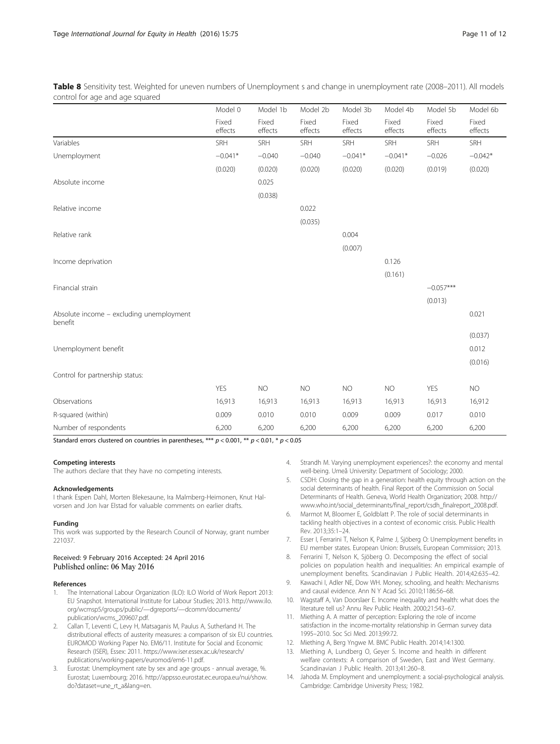<span id="page-10-0"></span>Table 8 Sensitivity test. Weighted for uneven numbers of Unemployment s and change in unemployment rate (2008–2011). All models control for age and age squared

|                                                     | Model 0          | Model 1b         | Model 2b         | Model 3b         | Model 4b         | Model 5b         | Model 6b         |
|-----------------------------------------------------|------------------|------------------|------------------|------------------|------------------|------------------|------------------|
|                                                     | Fixed<br>effects | Fixed<br>effects | Fixed<br>effects | Fixed<br>effects | Fixed<br>effects | Fixed<br>effects | Fixed<br>effects |
| Variables                                           | SRH              | SRH              | SRH              | SRH              | SRH              | SRH              | SRH              |
| Unemployment                                        | $-0.041*$        | $-0.040$         | $-0.040$         | $-0.041*$        | $-0.041*$        | $-0.026$         | $-0.042*$        |
|                                                     | (0.020)          | (0.020)          | (0.020)          | (0.020)          | (0.020)          | (0.019)          | (0.020)          |
| Absolute income                                     |                  | 0.025            |                  |                  |                  |                  |                  |
|                                                     |                  | (0.038)          |                  |                  |                  |                  |                  |
| Relative income                                     |                  |                  | 0.022            |                  |                  |                  |                  |
|                                                     |                  |                  | (0.035)          |                  |                  |                  |                  |
| Relative rank                                       |                  |                  |                  | 0.004            |                  |                  |                  |
|                                                     |                  |                  |                  | (0.007)          |                  |                  |                  |
| Income deprivation                                  |                  |                  |                  |                  | 0.126            |                  |                  |
|                                                     |                  |                  |                  |                  | (0.161)          |                  |                  |
| Financial strain                                    |                  |                  |                  |                  |                  | $-0.057***$      |                  |
|                                                     |                  |                  |                  |                  |                  | (0.013)          |                  |
| Absolute income - excluding unemployment<br>benefit |                  |                  |                  |                  |                  |                  | 0.021            |
|                                                     |                  |                  |                  |                  |                  |                  | (0.037)          |
| Unemployment benefit                                |                  |                  |                  |                  |                  |                  | 0.012            |
|                                                     |                  |                  |                  |                  |                  |                  | (0.016)          |
| Control for partnership status:                     |                  |                  |                  |                  |                  |                  |                  |
|                                                     | <b>YES</b>       | <b>NO</b>        | <b>NO</b>        | <b>NO</b>        | <b>NO</b>        | <b>YES</b>       | <b>NO</b>        |
| Observations                                        | 16,913           | 16,913           | 16,913           | 16,913           | 16,913           | 16,913           | 16,912           |
| R-squared (within)                                  | 0.009            | 0.010            | 0.010            | 0.009            | 0.009            | 0.017            | 0.010            |
| Number of respondents                               | 6,200            | 6,200            | 6,200            | 6,200            | 6,200            | 6,200            | 6,200            |

Standard errors clustered on countries in parentheses, \*\*\*  $p < 0.001$ , \*\*  $p < 0.01$ , \*  $p < 0.05$ 

#### Competing interests

The authors declare that they have no competing interests.

#### Acknowledgements

I thank Espen Dahl, Morten Blekesaune, Ira Malmberg-Heimonen, Knut Halvorsen and Jon Ivar Elstad for valuable comments on earlier drafts.

#### Funding

This work was supported by the Research Council of Norway, grant number 221037.

#### Received: 9 February 2016 Accepted: 24 April 2016 Published online: 06 May 2016

#### References

- The International Labour Organization (ILO): ILO World of Work Report 2013: EU Snapshot. International Institute for Labour Studies; 2013. [http://www.ilo.](http://www.ilo.org/wcmsp5/groups/public/---dgreports/---dcomm/documents/publication/wcms_209607.pdf) [org/wcmsp5/groups/public/](http://www.ilo.org/wcmsp5/groups/public/---dgreports/---dcomm/documents/publication/wcms_209607.pdf)—dgreports/—dcomm/documents/ [publication/wcms\\_209607.pdf](http://www.ilo.org/wcmsp5/groups/public/---dgreports/---dcomm/documents/publication/wcms_209607.pdf).
- 2. Callan T, Leventi C, Levy H, Matsaganis M, Paulus A, Sutherland H. The distributional effects of austerity measures: a comparison of six EU countries. EUROMOD Working Paper No. EM6/11. Institute for Social and Economic Research (ISER), Essex: 2011. [https://www.iser.essex.ac.uk/research/](https://www.iser.essex.ac.uk/research/publications/working-papers/euromod/em6-11.pdf) [publications/working-papers/euromod/em6-11.pdf](https://www.iser.essex.ac.uk/research/publications/working-papers/euromod/em6-11.pdf).
- Eurostat: Unemployment rate by sex and age groups annual average, %. Eurostat; Luxembourg; 2016. [http://appsso.eurostat.ec.europa.eu/nui/show.](http://appsso.eurostat.ec.europa.eu/nui/show.do?dataset=une_rt_a&lang=en) [do?dataset=une\\_rt\\_a&lang=en.](http://appsso.eurostat.ec.europa.eu/nui/show.do?dataset=une_rt_a&lang=en)
- 4. Strandh M. Varying unemployment experiences?: the economy and mental well-being. Umeå University: Department of Sociology; 2000.
- 5. CSDH: Closing the gap in a generation: health equity through action on the social determinants of health. Final Report of the Commission on Social Determinants of Health. Geneva, World Health Organization; 2008. [http://](http://www.who.int/social_determinants/final_report/csdh_finalreport_2008.pdf) [www.who.int/social\\_determinants/final\\_report/csdh\\_finalreport\\_2008.pdf.](http://www.who.int/social_determinants/final_report/csdh_finalreport_2008.pdf)
- 6. Marmot M, Bloomer E, Goldblatt P. The role of social determinants in tackling health objectives in a context of economic crisis. Public Health Rev. 2013;35:1–24.
- 7. Esser I, Ferrarini T, Nelson K, Palme J, Sjöberg O: Unemployment benefits in EU member states. European Union: Brussels, European Commission; 2013.
- 8. Ferrarini T, Nelson K, Sjöberg O. Decomposing the effect of social policies on population health and inequalities: An empirical example of unemployment benefits. Scandinavian J Public Health. 2014;42:635–42.
- 9. Kawachi I, Adler NE, Dow WH. Money, schooling, and health: Mechanisms and causal evidence. Ann N Y Acad Sci. 2010;1186:56–68.
- 10. Wagstaff A, Van Doorslaer E. Income inequality and health: what does the literature tell us? Annu Rev Public Health. 2000;21:543–67.
- 11. Miething A. A matter of perception: Exploring the role of income satisfaction in the income-mortality relationship in German survey data 1995–2010. Soc Sci Med. 2013;99:72.
- 12. Miething A, Berg Yngwe M. BMC Public Health. 2014;14:1300.
- 13. Miething A, Lundberg O, Geyer S. Income and health in different welfare contexts: A comparison of Sweden, East and West Germany. Scandinavian J Public Health. 2013;41:260–8.
- 14. Jahoda M. Employment and unemployment: a social-psychological analysis. Cambridge: Cambridge University Press; 1982.